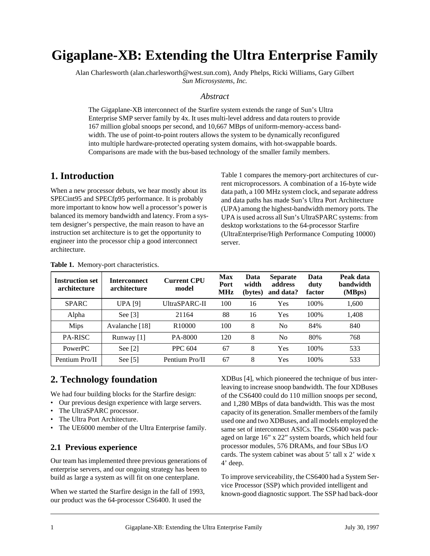# **Gigaplane-XB: Extending the Ultra Enterprise Family**

Alan Charlesworth (alan.charlesworth@west.sun.com), Andy Phelps, Ricki Williams, Gary Gilbert *Sun Microsystems, Inc.*

#### *Abstract*

The Gigaplane-XB interconnect of the Starfire system extends the range of Sun's Ultra Enterprise SMP server family by 4x. It uses multi-level address and data routers to provide 167 million global snoops per second, and 10,667 MBps of uniform-memory-access bandwidth. The use of point-to-point routers allows the system to be dynamically reconfigured into multiple hardware-protected operating system domains, with hot-swappable boards. Comparisons are made with the bus-based technology of the smaller family members.

### **1. Introduction**

When a new processor debuts, we hear mostly about its SPECint95 and SPECfp95 performance. It is probably more important to know how well a processor's power is balanced its memory bandwidth and latency. From a system designer's perspective, the main reason to have an instruction set architecture is to get the opportunity to engineer into the processor chip a good interconnect architecture.

Table 1 compares the memory-port architectures of current microprocessors. A combination of a 16-byte wide data path, a 100 MHz system clock, and separate address and data paths has made Sun's Ultra Port Architecture (UPA) among the highest-bandwidth memory ports. The UPA is used across all Sun's UltraSPARC systems: from desktop workstations to the 64-processor Starfire (UltraEnterprise/High Performance Computing 10000) server.

| <b>Instruction set</b><br>architecture | <b>Interconnect</b><br>architecture | <b>Current CPU</b><br>model | <b>Max</b><br>Port<br><b>MHz</b> | Data<br>width<br>(bytes) | <b>Separate</b><br>address<br>and data? | Data<br>duty<br>factor | Peak data<br>bandwidth<br>(MBps) |
|----------------------------------------|-------------------------------------|-----------------------------|----------------------------------|--------------------------|-----------------------------------------|------------------------|----------------------------------|
| <b>SPARC</b>                           | <b>UPA</b> [9]                      | UltraSPARC-II               | 100                              | 16                       | Yes                                     | 100%                   | 1,600                            |
| Alpha                                  | See $[3]$                           | 21164                       | 88                               | 16                       | Yes                                     | 100%                   | 1,408                            |
| <b>Mips</b>                            | Avalanche [18]                      | R <sub>10000</sub>          | 100                              | 8                        | N <sub>0</sub>                          | 84%                    | 840                              |
| <b>PA-RISC</b>                         | Runway [1]                          | PA-8000                     | 120                              | 8                        | N <sub>0</sub>                          | 80%                    | 768                              |
| <b>PowerPC</b>                         | See $[2]$                           | PPC 604                     | 67                               | 8                        | Yes                                     | 100%                   | 533                              |
| Pentium Pro/II                         | See $[5]$                           | Pentium Pro/II              | 67                               | 8                        | Yes                                     | 100%                   | 533                              |

**Table 1.** Memory-port characteristics.

# **2. Technology foundation**

We had four building blocks for the Starfire design:

- Our previous design experience with large servers.
- The UltraSPARC processor.
- The Ultra Port Architecture.
- The UE6000 member of the Ultra Enterprise family.

### **2.1 Previous experience**

Our team has implemented three previous generations of enterprise servers, and our ongoing strategy has been to build as large a system as will fit on one centerplane.

When we started the Starfire design in the fall of 1993, our product was the 64-processor CS6400. It used the

XDBus [\[4\]](#page-14-0), which pioneered the technique of bus interleaving to increase snoop bandwidth. The four XDBuses of the CS6400 could do 110 million snoops per second, and 1,280 MBps of data bandwidth. This was the most capacity of its generation. Smaller members of the family used one and two XDBuses, and all models employed the same set of interconnect ASICs. The CS6400 was packaged on large 16" x 22" system boards, which held four processor modules, 576 DRAMs, and four SBus I/O cards. The system cabinet was about 5' tall x 2' wide x 4' deep.

To improve serviceability, the CS6400 had a System Service Processor (SSP) which provided intelligent and known-good diagnostic support. The SSP had back-door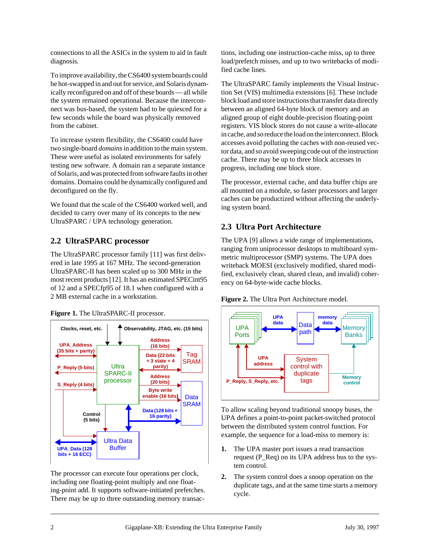connections to all the ASICs in the system to aid in fault diagnosis.

To improve availability, the CS6400 system boards could be hot-swapped in and out for service, and Solaris dynamically reconfigured on and off of these boards — all while the system remained operational. Because the interconnect was bus-based, the system had to be quiesced for a few seconds while the board was physically removed from the cabinet.

To increase system flexibility, the CS6400 could have two single-board *domains*in addition to the main system. These were useful as isolated environments for safely testing new software. A domain ran a separate instance of Solaris, and was protected from software faults in other domains. Domains could be dynamically configured and deconfigured on the fly.

We found that the scale of the CS6400 worked well, and decided to carry over many of its concepts to the new UltraSPARC / UPA technology generation.

### **2.2 UltraSPARC processor**

The UltraSPARC processor family [\[11\]](#page-14-0) was first delivered in late 1995 at 167 MHz. The second-generation UltraSPARC-II has been scaled up to 300 MHz in the most recent products [\[12\]](#page-14-0). It has an estimated SPECint95 of 12 and a SPECfp95 of 18.1 when configured with a 2 MB external cache in a workstation.





The processor can execute four operations per clock, including one floating-point multiply and one floating-point add. It supports software-initiated prefetches. There may be up to three outstanding memory transactions, including one instruction-cache miss, up to three load/prefetch misses, and up to two writebacks of modified cache lines.

The UltraSPARC family implements the Visual Instruction Set (VIS) multimedia extensions [\[6\]](#page-14-0). These include block load and store instructions that transfer data directly between an aligned 64-byte block of memory and an aligned group of eight double-precision floating-point registers. VIS block stores do not cause a write-allocate in cache, and so reduce the load on the interconnect. Block accesses avoid polluting the caches with non-reused vector data, and so avoid sweeping code out of the instruction cache. There may be up to three block accesses in progress, including one block store.

The processor, external cache, and data buffer chips are all mounted on a module, so faster processors and larger caches can be productized without affecting the underlying system board.

### **2.3 Ultra Port Architecture**

The UPA [\[9\]](#page-14-0) allows a wide range of implementations, ranging from uniprocessor desktops to multiboard symmetric multiprocessor (SMP) systems. The UPA does writeback MOESI (exclusively modified, shared modified, exclusively clean, shared clean, and invalid) coherency on 64-byte-wide cache blocks.





To allow scaling beyond traditional snoopy buses, the UPA defines a point-to-point packet-switched protocol between the distributed system control function. For example, the sequence for a load-miss to memory is:

- **1.** The UPA master port issues a read transaction request (P\_Req) on its UPA address bus to the system control.
- **2.** The system control does a snoop operation on the duplicate tags, and at the same time starts a memory cycle.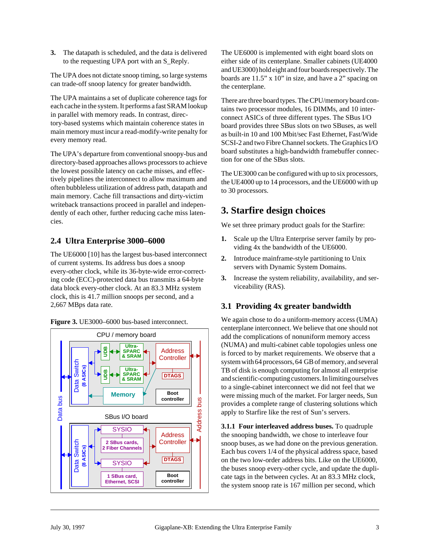**3.** The datapath is scheduled, and the data is delivered to the requesting UPA port with an S\_Reply.

The UPA does not dictate snoop timing, so large systems can trade-off snoop latency for greater bandwidth.

The UPA maintains a set of duplicate coherence tags for each cache in the system. It performs a fast SRAM lookup in parallel with memory reads. In contrast, directory-based systems which maintain coherence states in main memory must incur a read-modify-write penalty for every memory read.

The UPA's departure from conventional snoopy-bus and directory-based approaches allows processors to achieve the lowest possible latency on cache misses, and effectively pipelines the interconnect to allow maximum and often bubbleless utilization of address path, datapath and main memory. Cache fill transactions and dirty-victim writeback transactions proceed in parallel and independently of each other, further reducing cache miss latencies.

### **2.4 Ultra Enterprise 3000–6000**

The UE6000 [\[10\]](#page-14-0) has the largest bus-based interconnect of current systems. Its address bus does a snoop every-other clock, while its 36-byte-wide error-correcting code (ECC)-protected data bus transmits a 64-byte data block every-other clock. At an 83.3 MHz system clock, this is 41.7 million snoops per second, and a 2,667 MBps data rate.





The UE6000 is implemented with eight board slots on either side of its centerplane. Smaller cabinets (UE4000 and UE3000) hold eight and four boards respectively. The boards are 11.5" x 10" in size, and have a 2" spacing on the centerplane.

There are three board types. The CPU/memory board contains two processor modules, 16 DIMMs, and 10 interconnect ASICs of three different types. The SBus I/O board provides three SBus slots on two SBuses, as well as built-in 10 and 100 Mbit/sec Fast Ethernet, Fast/Wide SCSI-2 and two Fibre Channel sockets. The Graphics I/O board substitutes a high-bandwidth framebuffer connection for one of the SBus slots.

The UE3000 can be configured with up to six processors, the UE4000 up to 14 processors, and the UE6000 with up to 30 processors.

### **3. Starfire design choices**

We set three primary product goals for the Starfire:

- **1.** Scale up the Ultra Enterprise server family by providing 4x the bandwidth of the UE6000.
- **2.** Introduce mainframe-style partitioning to Unix servers with Dynamic System Domains.
- **3.** Increase the system reliability, availability, and serviceability (RAS).

### **3.1 Providing 4x greater bandwidth**

We again chose to do a uniform-memory access (UMA) centerplane interconnect. We believe that one should not add the complications of nonuniform memory access (NUMA) and multi-cabinet cable topologies unless one is forced to by market requirements. We observe that a system with 64 processors, 64 GB of memory, and several TB of disk is enough computing for almost all enterprise and scientific-computing customers. In limiting ourselves to a single-cabinet interconnect we did not feel that we were missing much of the market. For larger needs, Sun provides a complete range of clustering solutions which apply to Starfire like the rest of Sun's servers.

**3.1.1 Four interleaved address buses.** To quadruple the snooping bandwidth, we chose to interleave four snoop buses, as we had done on the previous generation. Each bus covers 1/4 of the physical address space, based on the two low-order address bits. Like on the UE6000, the buses snoop every-other cycle, and update the duplicate tags in the between cycles. At an 83.3 MHz clock, the system snoop rate is 167 million per second, which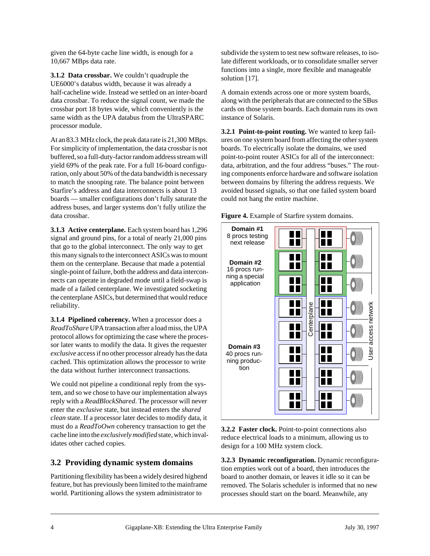given the 64-byte cache line width, is enough for a 10,667 MBps data rate.

**3.1.2 Data crossbar.** We couldn't quadruple the UE6000's databus width, because it was already a half-cacheline wide. Instead we settled on an inter-board data crossbar. To reduce the signal count, we made the crossbar port 18 bytes wide, which conveniently is the same width as the UPA databus from the UltraSPARC processor module.

At an 83.3 MHz clock, the peak data rate is 21,300 MBps. For simplicity of implementation, the data crossbar is not buffered, so a full-duty-factor random address stream will yield 69% of the peak rate. For a full 16-board configuration, only about 50% of the data bandwidth is necessary to match the snooping rate. The balance point between Starfire's address and data interconnects is about 13 boards — smaller configurations don't fully saturate the address buses, and larger systems don't fully utilize the data crossbar.

**3.1.3 Active centerplane.** Each system board has 1,296 signal and ground pins, for a total of nearly 21,000 pins that go to the global interconnect. The only way to get this many signals to the interconnect ASICs was to mount them on the centerplane. Because that made a potential single-point of failure, both the address and data interconnects can operate in degraded mode until a field-swap is made of a failed centerplane. We investigated socketing the centerplane ASICs, but determined that would reduce reliability.

**3.1.4 Pipelined coherency.** When a processor does a *ReadToShare* UPA transaction after a load miss, the UPA protocol allows for optimizing the case where the processor later wants to modify the data. It gives the requester *exclusive* access if no other processor already has the data cached. This optimization allows the processor to write the data without further interconnect transactions.

We could not pipeline a conditional reply from the system, and so we chose to have our implementation always reply with a *ReadBlockShared*. The processor will never enter the *exclusive* state, but instead enters the *shared clean* state. If a processor later decides to modify data, it must do a *ReadToOwn* coherency transaction to get the cache line into the *exclusively modified* state, which invalidates other cached copies.

### **3.2 Providing dynamic system domains**

Partitioning flexibility has been a widely desired highend feature, but has previously been limited to the mainframe world. Partitioning allows the system administrator to

subdivide the system to test new software releases, to isolate different workloads, or to consolidate smaller server functions into a single, more flexible and manageable solution [\[17\]](#page-14-0).

A domain extends across one or more system boards, along with the peripherals that are connected to the SBus cards on those system boards. Each domain runs its own instance of Solaris.

**3.2.1 Point-to-point routing.** We wanted to keep failures on one system board from affecting the other system boards. To electrically isolate the domains, we used point-to-point router ASICs for all of the interconnect: data, arbitration, and the four address "buses." The routing components enforce hardware and software isolation between domains by filtering the address requests. We avoided bussed signals, so that one failed system board could not hang the entire machine.



**Figure 4.** Example of Starfire system domains.

**3.2.2 Faster clock.** Point-to-point connections also reduce electrical loads to a minimum, allowing us to design for a 100 MHz system clock.

**3.2.3 Dynamic reconfiguration.** Dynamic reconfiguration empties work out of a board, then introduces the board to another domain, or leaves it idle so it can be removed. The Solaris scheduler is informed that no new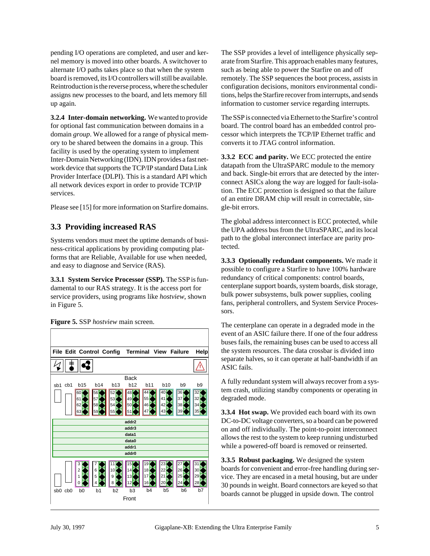pending I/O operations are completed, and user and kernel memory is moved into other boards. A switchover to alternate I/O paths takes place so that when the system board is removed, its I/O controllers will still be available. Reintroduction is the reverse process, where the scheduler assigns new processes to the board, and lets memory fill up again.

**3.2.4 Inter-domain networking.** We wanted to provide for optional fast communication between domains in a domain *group*. We allowed for a range of physical memory to be shared between the domains in a group. This facility is used by the operating system to implement Inter-Domain Networking (IDN). IDN provides a fast network device that supports the TCP/IP standard Data Link Provider Interface (DLPI). This is a standard API which all network devices export in order to provide TCP/IP services.

Please see [\[15\]](#page-14-0) for more information on Starfire domains.

### **3.3 Providing increased RAS**

Systems vendors must meet the uptime demands of business-critical applications by providing computing platforms that are Reliable, Available for use when needed, and easy to diagnose and Service (RAS).

**3.3.1 System Service Processor (SSP).** The SSP is fundamental to our RAS strategy. It is the access port for service providers, using programs like *hostview*, shown in Figure 5.





The SSP provides a level of intelligence physically separate from Starfire. This approach enables many features, such as being able to power the Starfire on and off remotely. The SSP sequences the boot process, assists in configuration decisions, monitors environmental conditions, helps the Starfire recover from interrupts, and sends information to customer service regarding interrupts.

The SSP is connected via Ethernet to the Starfire's control board. The control board has an embedded control processor which interprets the TCP/IP Ethernet traffic and converts it to JTAG control information.

**3.3.2 ECC and parity.** We ECC protected the entire datapath from the UltraSPARC module to the memory and back. Single-bit errors that are detected by the interconnect ASICs along the way are logged for fault-isolation. The ECC protection is designed so that the failure of an entire DRAM chip will result in correctable, single-bit errors.

The global address interconnect is ECC protected, while the UPA address bus from the UltraSPARC, and its local path to the global interconnect interface are parity protected.

**3.3.3 Optionally redundant components.** We made it possible to configure a Starfire to have 100% hardware redundancy of critical components: control boards, centerplane support boards, system boards, disk storage, bulk power subsystems, bulk power supplies, cooling fans, peripheral controllers, and System Service Processors.

The centerplane can operate in a degraded mode in the event of an ASIC failure there. If one of the four address buses fails, the remaining buses can be used to access all the system resources. The data crossbar is divided into separate halves, so it can operate at half-bandwidth if an ASIC fails.

A fully redundant system will always recover from a system crash, utilizing standby components or operating in degraded mode.

**3.3.4 Hot swap.** We provided each board with its own DC-to-DC voltage converters, so a board can be powered on and off individually. The point-to-point interconnect allows the rest to the system to keep running undisturbed while a powered-off board is removed or reinserted.

**3.3.5 Robust packaging.** We designed the system boards for convenient and error-free handling during service. They are encased in a metal housing, but are under 30 pounds in weight. Board connectors are keyed so that boards cannot be plugged in upside down. The control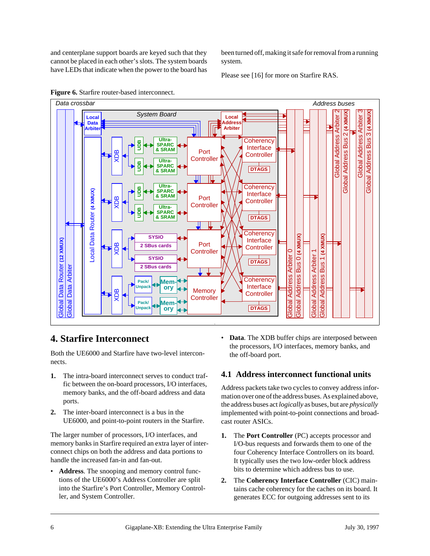and centerplane support boards are keyed such that they cannot be placed in each other's slots. The system boards have LEDs that indicate when the power to the board has been turned off, making it safe for removal from a running system.

Please see [\[16\]](#page-14-0) for more on Starfire RAS.



**Figure 6.** Starfire router-based interconnect.

# **4. Starfire Interconnect**

Both the UE6000 and Starfire have two-level interconnects.

- **1.** The intra-board interconnect serves to conduct traffic between the on-board processors, I/O interfaces, memory banks, and the off-board address and data ports.
- **2.** The inter-board interconnect is a bus in the UE6000, and point-to-point routers in the Starfire.

The larger number of processors, I/O interfaces, and memory banks in Starfire required an extra layer of interconnect chips on both the address and data portions to handle the increased fan-in and fan-out.

• **Address**. The snooping and memory control functions of the UE6000's Address Controller are split into the Starfire's Port Controller, Memory Controller, and System Controller.

• **Data**. The XDB buffer chips are interposed between the processors, I/O interfaces, memory banks, and the off-board port.

### **4.1 Address interconnect functional units**

Address packets take two cycles to convey address information over one of the address buses. As explained above, the address buses act *logically* as buses, but are *physically* implemented with point-to-point connections and broadcast router ASICs.

- **1.** The **Port Controller** (PC) accepts processor and I/O-bus requests and forwards them to one of the four Coherency Interface Controllers on its board. It typically uses the two low-order block address bits to determine which address bus to use.
- **2.** The **Coherency Interface Controller** (CIC) maintains cache coherency for the caches on its board. It generates ECC for outgoing addresses sent to its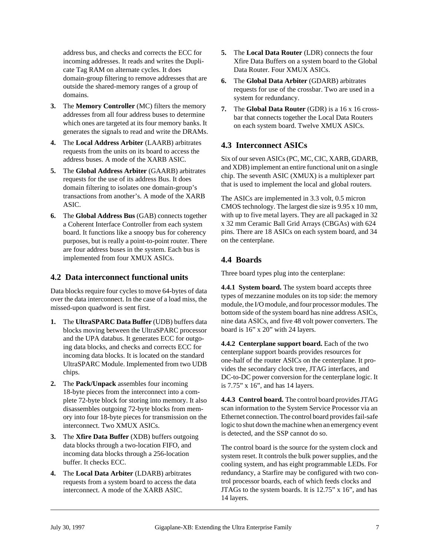address bus, and checks and corrects the ECC for incoming addresses. It reads and writes the Duplicate Tag RAM on alternate cycles. It does domain-group filtering to remove addresses that are outside the shared-memory ranges of a group of domains.

- **3.** The **Memory Controller** (MC) filters the memory addresses from all four address buses to determine which ones are targeted at its four memory banks. It generates the signals to read and write the DRAMs.
- **4.** The **Local Address Arbiter** (LAARB) arbitrates requests from the units on its board to access the address buses. A mode of the XARB ASIC.
- **5.** The **Global Address Arbiter** (GAARB) arbitrates requests for the use of its address Bus. It does domain filtering to isolates one domain-group's transactions from another's. A mode of the XARB ASIC.
- **6.** The **Global Address Bus** (GAB) connects together a Coherent Interface Controller from each system board. It functions like a snoopy bus for coherency purposes, but is really a point-to-point router. There are four address buses in the system. Each bus is implemented from four XMUX ASICs.

### **4.2 Data interconnect functional units**

Data blocks require four cycles to move 64-bytes of data over the data interconnect. In the case of a load miss, the missed-upon quadword is sent first.

- **1.** The **UltraSPARC Data Buffer** (UDB) buffers data blocks moving between the UltraSPARC processor and the UPA databus. It generates ECC for outgoing data blocks, and checks and corrects ECC for incoming data blocks. It is located on the standard UltraSPARC Module. Implemented from two UDB chips.
- **2.** The **Pack/Unpack** assembles four incoming 18-byte pieces from the interconnect into a complete 72-byte block for storing into memory. It also disassembles outgoing 72-byte blocks from memory into four 18-byte pieces for transmission on the interconnect. Two XMUX ASICs.
- **3.** The **Xfire Data Buffer** (XDB) buffers outgoing data blocks through a two-location FIFO, and incoming data blocks through a 256-location buffer. It checks ECC.
- **4.** The **Local Data Arbiter** (LDARB) arbitrates requests from a system board to access the data interconnect. A mode of the XARB ASIC.
- **5.** The **Local Data Router** (LDR) connects the four Xfire Data Buffers on a system board to the Global Data Router. Four XMUX ASICs.
- **6.** The **Global Data Arbiter** (GDARB) arbitrates requests for use of the crossbar. Two are used in a system for redundancy.
- **7.** The **Global Data Router** (GDR) is a 16 x 16 crossbar that connects together the Local Data Routers on each system board. Twelve XMUX ASICs.

### **4.3 Interconnect ASICs**

Six of our seven ASICs (PC, MC, CIC, XARB, GDARB, and XDB) implement an entire functional unit on a single chip. The seventh ASIC (XMUX) is a multiplexer part that is used to implement the local and global routers.

The ASICs are implemented in 3.3 volt, 0.5 micron CMOS technology. The largest die size is 9.95 x 10 mm, with up to five metal layers. They are all packaged in 32 x 32 mm Ceramic Ball Grid Arrays (CBGAs) with 624 pins. There are 18 ASICs on each system board, and 34 on the centerplane.

### **4.4 Boards**

Three board types plug into the centerplane:

**4.4.1 System board.** The system board accepts three types of mezzanine modules on its top side: the memory module, the I/O module, and four processor modules. The bottom side of the system board has nine address ASICs, nine data ASICs, and five 48 volt power converters. The board is 16" x 20" with 24 layers.

**4.4.2 Centerplane support board.** Each of the two centerplane support boards provides resources for one-half of the router ASICs on the centerplane. It provides the secondary clock tree, JTAG interfaces, and DC-to-DC power conversion for the centerplane logic. It is 7.75" x 16", and has 14 layers.

**4.4.3 Control board.** The control board provides JTAG scan information to the System Service Processor via an Ethernet connection. The control board provides fail-safe logic to shut down the machine when an emergency event is detected, and the SSP cannot do so.

The control board is the source for the system clock and system reset. It controls the bulk power supplies, and the cooling system, and has eight programmable LEDs. For redundancy, a Starfire may be configured with two control processor boards, each of which feeds clocks and JTAGs to the system boards. It is 12.75" x 16", and has 14 layers.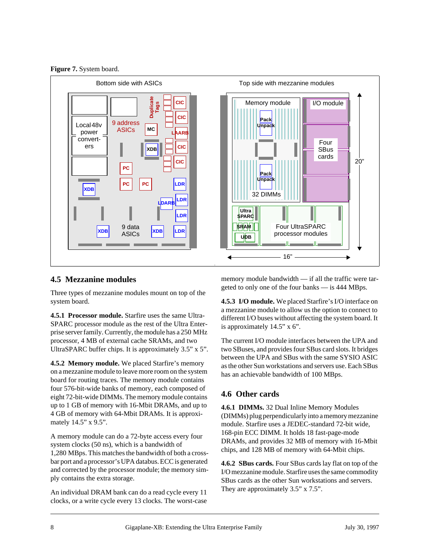**Figure 7.** System board.



### **4.5 Mezzanine modules**

Three types of mezzanine modules mount on top of the system board.

**4.5.1 Processor module.** Starfire uses the same Ultra-SPARC processor module as the rest of the Ultra Enterprise server family. Currently, the module has a 250 MHz processor, 4 MB of external cache SRAMs, and two UltraSPARC buffer chips. It is approximately 3.5" x 5".

**4.5.2 Memory module.** We placed Starfire's memory on a mezzanine module to leave more room on the system board for routing traces. The memory module contains four 576-bit-wide banks of memory, each composed of eight 72-bit-wide DIMMs. The memory module contains up to 1 GB of memory with 16-Mbit DRAMs, and up to 4 GB of memory with 64-Mbit DRAMs. It is approximately 14.5" x 9.5".

A memory module can do a 72-byte access every four system clocks (50 ns), which is a bandwidth of 1,280 MBps. This matches the bandwidth of both a crossbar port and a processor's UPA databus. ECC is generated and corrected by the processor module; the memory simply contains the extra storage.

An individual DRAM bank can do a read cycle every 11 clocks, or a write cycle every 13 clocks. The worst-case memory module bandwidth — if all the traffic were targeted to only one of the four banks — is 444 MBps.

**4.5.3 I/O module.** We placed Starfire's I/O interface on a mezzanine module to allow us the option to connect to different I/O buses without affecting the system board. It is approximately 14.5" x 6".

The current I/O module interfaces between the UPA and two SBuses, and provides four SBus card slots. It bridges between the UPA and SBus with the same SYSIO ASIC as the other Sun workstations and servers use. Each SBus has an achievable bandwidth of 100 MBps.

### **4.6 Other cards**

**4.6.1 DIMMs.** 32 Dual Inline Memory Modules (DIMMs) plug perpendicularly into a memory mezzanine module. Starfire uses a JEDEC-standard 72-bit wide, 168-pin ECC DIMM. It holds 18 fast-page-mode DRAMs, and provides 32 MB of memory with 16-Mbit chips, and 128 MB of memory with 64-Mbit chips.

**4.6.2 SBus cards.** Four SBus cards lay flat on top of the I/O mezzanine module. Starfire uses the same commodity SBus cards as the other Sun workstations and servers. They are approximately 3.5" x 7.5".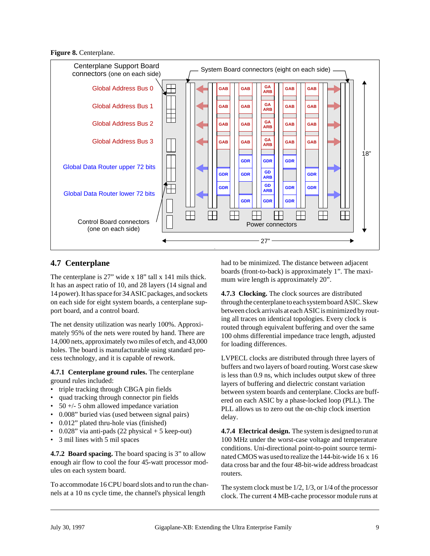#### **Figure 8.** Centerplane.



### **4.7 Centerplane**

The centerplane is 27" wide x 18" tall x 141 mils thick. It has an aspect ratio of 10, and 28 layers (14 signal and 14 power). It has space for 34 ASIC packages, and sockets on each side for eight system boards, a centerplane support board, and a control board.

The net density utilization was nearly 100%. Approximately 95% of the nets were routed by hand. There are 14,000 nets, approximately two miles of etch, and 43,000 holes. The board is manufacturable using standard process technology, and it is capable of rework.

**4.7.1 Centerplane ground rules.** The centerplane ground rules included:

- triple tracking through CBGA pin fields
- quad tracking through connector pin fields
- 50  $+/-$  5 ohm allowed impedance variation
- 0.008" buried vias (used between signal pairs)
- 0.012" plated thru-hole vias (finished)
- 0.028" via anti-pads  $(22 \text{ physical} + 5 \text{ keep-out})$
- 3 mil lines with 5 mil spaces

**4.7.2 Board spacing.** The board spacing is 3" to allow enough air flow to cool the four 45-watt processor modules on each system board.

To accommodate 16 CPU board slots and to run the channels at a 10 ns cycle time, the channel's physical length

had to be minimized. The distance between adjacent boards (front-to-back) is approximately 1". The maximum wire length is approximately 20".

**4.7.3 Clocking.** The clock sources are distributed through the centerplane to each system board ASIC. Skew between clock arrivals at each ASIC is minimized by routing all traces on identical topologies. Every clock is routed through equivalent buffering and over the same 100 ohms differential impedance trace length, adjusted for loading differences.

LVPECL clocks are distributed through three layers of buffers and two layers of board routing. Worst case skew is less than 0.9 ns, which includes output skew of three layers of buffering and dielectric constant variation between system boards and centerplane. Clocks are buffered on each ASIC by a phase-locked loop (PLL). The PLL allows us to zero out the on-chip clock insertion delay.

**4.7.4 Electrical design.** The system is designed to run at 100 MHz under the worst-case voltage and temperature conditions. Uni-directional point-to-point source terminated CMOS was used to realize the 144-bit-wide 16 x 16 data cross bar and the four 48-bit-wide address broadcast routers.

The system clock must be 1/2, 1/3, or 1/4 of the processor clock. The current 4 MB-cache processor module runs at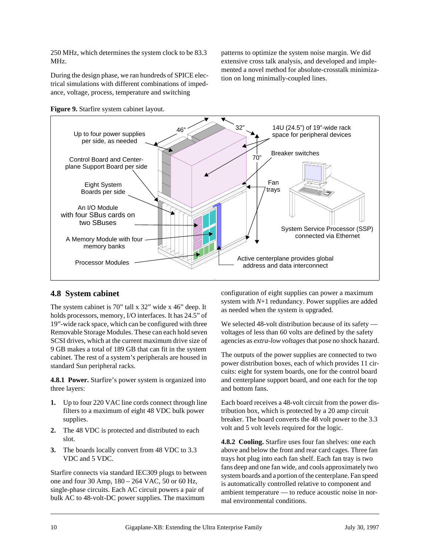250 MHz, which determines the system clock to be 83.3 MHz.

During the design phase, we ran hundreds of SPICE electrical simulations with different combinations of impedance, voltage, process, temperature and switching

patterns to optimize the system noise margin. We did extensive cross talk analysis, and developed and implemented a novel method for absolute-crosstalk minimization on long minimally-coupled lines.



x

#### **Figure 9.** Starfire system cabinet layout.

### **4.8 System cabinet**

The system cabinet is 70" tall x 32" wide x 46" deep. It holds processors, memory, I/O interfaces. It has 24.5" of 19"-wide rack space, which can be configured with three Removable Storage Modules. These can each hold seven SCSI drives, which at the current maximum drive size of 9 GB makes a total of 189 GB that can fit in the system cabinet. The rest of a system's peripherals are housed in standard Sun peripheral racks.

**4.8.1 Power.** Starfire's power system is organized into three layers:

- **1.** Up to four 220 VAC line cords connect through line filters to a maximum of eight 48 VDC bulk power supplies.
- **2.** The 48 VDC is protected and distributed to each slot.
- **3.** The boards locally convert from 48 VDC to 3.3 VDC and 5 VDC.

Starfire connects via standard IEC309 plugs to between one and four 30 Amp, 180 – 264 VAC, 50 or 60 Hz, single-phase circuits. Each AC circuit powers a pair of bulk AC to 48-volt-DC power supplies. The maximum

configuration of eight supplies can power a maximum system with *N*+1 redundancy. Power supplies are added as needed when the system is upgraded.

We selected 48-volt distribution because of its safety voltages of less than 60 volts are defined by the safety agencies as *extra-low voltages* that pose no shock hazard.

The outputs of the power supplies are connected to two power distribution boxes, each of which provides 11 circuits: eight for system boards, one for the control board and centerplane support board, and one each for the top and bottom fans.

Each board receives a 48-volt circuit from the power distribution box, which is protected by a 20 amp circuit breaker. The board converts the 48 volt power to the 3.3 volt and 5 volt levels required for the logic.

**4.8.2 Cooling.** Starfire uses four fan shelves: one each above and below the front and rear card cages. Three fan trays hot plug into each fan shelf. Each fan tray is two fans deep and one fan wide, and cools approximately two system boards and a portion of the centerplane. Fan speed is automatically controlled relative to component and ambient temperature — to reduce acoustic noise in normal environmental conditions.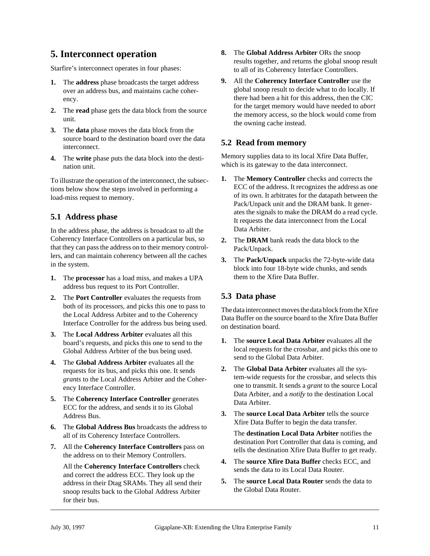# **5. Interconnect operation**

Starfire's interconnect operates in four phases:

- **1.** The **address** phase broadcasts the target address over an address bus, and maintains cache coherency.
- **2.** The **read** phase gets the data block from the source unit.
- **3.** The **data** phase moves the data block from the source board to the destination board over the data interconnect.
- **4.** The **write** phase puts the data block into the destination unit.

To illustrate the operation of the interconnect, the subsections below show the steps involved in performing a load-miss request to memory.

### **5.1 Address phase**

In the address phase, the address is broadcast to all the Coherency Interface Controllers on a particular bus, so that they can pass the address on to their memory controllers, and can maintain coherency between all the caches in the system.

- **1.** The **processor** has a load miss, and makes a UPA address bus request to its Port Controller.
- **2.** The **Port Controller** evaluates the requests from both of its processors, and picks this one to pass to the Local Address Arbiter and to the Coherency Interface Controller for the address bus being used.
- **3.** The **Local Address Arbiter** evaluates all this board's requests, and picks this one to send to the Global Address Arbiter of the bus being used.
- **4.** The **Global Address Arbiter** evaluates all the requests for its bus, and picks this one. It sends *grants* to the Local Address Arbiter and the Coherency Interface Controller.
- **5.** The **Coherency Interface Controller** generates ECC for the address, and sends it to its Global Address Bus.
- **6.** The **Global Address Bus** broadcasts the address to all of its Coherency Interface Controllers.
- **7.** All the **Coherency Interface Controllers** pass on the address on to their Memory Controllers.

All the **Coherency Interface Controllers** check and correct the address ECC. They look up the address in their Dtag SRAMs. They all send their snoop results back to the Global Address Arbiter for their bus.

- **8.** The **Global Address Arbiter** ORs the snoop results together, and returns the global snoop result to all of its Coherency Interface Controllers.
- **9.** All the **Coherency Interface Controller** use the global snoop result to decide what to do locally. If there had been a hit for this address, then the CIC for the target memory would have needed to *abort* the memory access, so the block would come from the owning cache instead.

### **5.2 Read from memory**

Memory supplies data to its local Xfire Data Buffer, which is its gateway to the data interconnect.

- **1.** The **Memory Controller** checks and corrects the ECC of the address. It recognizes the address as one of its own. It arbitrates for the datapath between the Pack/Unpack unit and the DRAM bank. It generates the signals to make the DRAM do a read cycle. It requests the data interconnect from the Local Data Arbiter.
- **2.** The **DRAM** bank reads the data block to the Pack/Unpack.
- **3.** The **Pack/Unpack** unpacks the 72-byte-wide data block into four 18-byte wide chunks, and sends them to the Xfire Data Buffer.

### **5.3 Data phase**

The data interconnect moves the data block from the Xfire Data Buffer on the source board to the Xfire Data Buffer on destination board.

- **1.** The **source Local Data Arbiter** evaluates all the local requests for the crossbar, and picks this one to send to the Global Data Arbiter.
- **2.** The **Global Data Arbiter** evaluates all the system-wide requests for the crossbar, and selects this one to transmit. It sends a *grant* to the source Local Data Arbiter, and a *notify* to the destination Local Data Arbiter.
- **3.** The **source Local Data Arbiter** tells the source Xfire Data Buffer to begin the data transfer.

The **destination Local Data Arbiter** notifies the destination Port Controller that data is coming, and tells the destination Xfire Data Buffer to get ready.

- **4.** The **source Xfire Data Buffer** checks ECC, and sends the data to its Local Data Router.
- **5.** The **source Local Data Router** sends the data to the Global Data Router.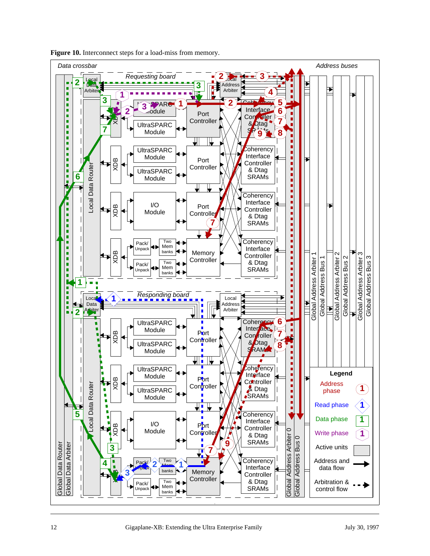

**Figure 10.** Interconnect steps for a load-miss from memory.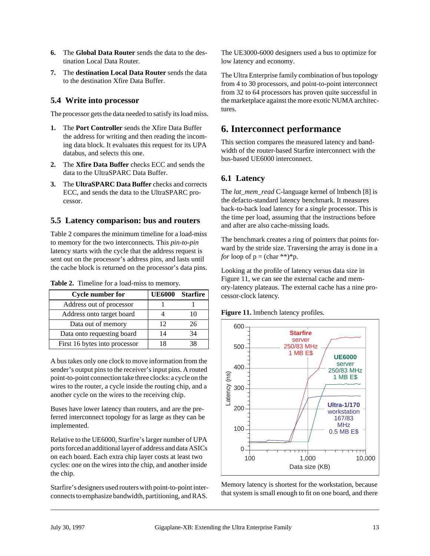- **6.** The **Global Data Router** sends the data to the destination Local Data Router.
- **7.** The **destination Local Data Router** sends the data to the destination Xfire Data Buffer.

### **5.4 Write into processor**

The processor gets the data needed to satisfy its load miss.

- **1.** The **Port Controller** sends the Xfire Data Buffer the address for writing and then reading the incoming data block. It evaluates this request for its UPA databus, and selects this one.
- **2.** The **Xfire Data Buffer** checks ECC and sends the data to the UltraSPARC Data Buffer.
- **3.** The **UltraSPARC Data Buffer** checks and corrects ECC, and sends the data to the UltraSPARC processor.

#### **5.5 Latency comparison: bus and routers**

Table 2 compares the minimum timeline for a load-miss to memory for the two interconnects. This *pin-to-pin* latency starts with the cycle that the address request is sent out on the processor's address pins, and lasts until the cache block is returned on the processor's data pins.

| <b>Cycle number for</b>       | <b>UE6000</b> | Starfire |
|-------------------------------|---------------|----------|
| Address out of processor      |               |          |
| Address onto target board     |               |          |
| Data out of memory            | 12            | 26       |
| Data onto requesting board    | 14            | 34       |
| First 16 bytes into processor |               |          |

**Table 2.** Timeline for a load-miss to memory.

A bus takes only one clock to move information from the sender's output pins to the receiver's input pins. A routed point-to-point connection take three clocks: a cycle on the wires to the router, a cycle inside the routing chip, and a another cycle on the wires to the receiving chip.

Buses have lower latency than routers, and are the preferred interconnect topology for as large as they can be implemented.

Relative to the UE6000, Starfire's larger number of UPA ports forced an additional layer of address and data ASICs on each board. Each extra chip layer costs at least two cycles: one on the wires into the chip, and another inside the chip.

Starfire's designers used routers with point-to-point interconnects to emphasize bandwidth, partitioning, and RAS. The UE3000-6000 designers used a bus to optimize for low latency and economy.

The Ultra Enterprise family combination of bus topology from 4 to 30 processors, and point-to-point interconnect from 32 to 64 processors has proven quite successful in the marketplace against the more exotic NUMA architectures.

### **6. Interconnect performance**

This section compares the measured latency and bandwidth of the router-based Starfire interconnect with the bus-based UE6000 interconnect.

### **6.1 Latency**

The *lat\_mem\_read* C-language kernel of lmbench [\[8\]](#page-14-0) is the defacto-standard latency benchmark. It measures back-to-back load latency for a *single* processor. This is the time per load, assuming that the instructions before and after are also cache-missing loads.

The benchmark creates a ring of pointers that points forward by the stride size. Traversing the array is done in a *for* loop of  $p = (char **)*p$ .

Looking at the profile of latency versus data size in Figure 11, we can see the external cache and memory-latency plateaus. The external cache has a nine processor-clock latency.

**Figure 11.** lmbench latency profiles.



Memory latency is shortest for the workstation, because that system is small enough to fit on one board, and there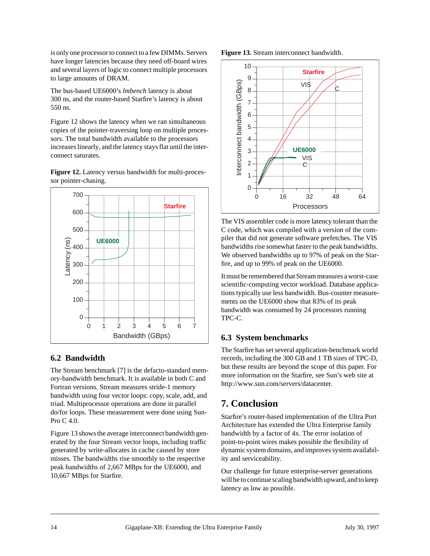is only one processor to connect to a few DIMMs. Servers have longer latencies because they need off-board wires and several layers of logic to connect multiple processors to large amounts of DRAM.

The bus-based UE6000's *lmbench* latency is about 300 ns, and the router-based Starfire's latency is about 550 ns.

Figure 12 shows the latency when we ran simultaneous copies of the pointer-traversing loop on multiple processors. The total bandwidth available to the processors increases linearly, and the latency stays flat until the interconnect saturates.

**Figure 12.** Latency versus bandwidth for multi-processor pointer-chasing.



### **6.2 Bandwidth**

The Stream benchmark [\[7\]](#page-14-0) is the defacto-standard memory-bandwidth benchmark. It is available in both C and Fortran versions. Stream measures stride-1 memory bandwidth using four vector loops: copy, scale, add, and triad. Multiprocessor operations are done in parallel do/for loops. These measurement were done using Sun-Pro C 4.0.

Figure 13 shows the average interconnect bandwidth generated by the four Stream vector loops, including traffic generated by write-allocates in cache caused by store misses. The bandwidths rise smoothly to the respective peak bandwidths of 2,667 MBps for the UE6000, and 10,667 MBps for Starfire.





The VIS assembler code is more latency tolerant than the C code, which was compiled with a version of the compiler that did not generate software prefetches. The VIS bandwidths rise somewhat faster to the peak bandwidths. We observed bandwidths up to 97% of peak on the Starfire, and up to 99% of peak on the UE6000.

It must be remembered that Stream measures a worst-case scientific-computing vector workload. Database applications typically use less bandwidth. Bus-counter measurements on the UE6000 show that 83% of its peak bandwidth was consumed by 24 processors running TPC-C.

### **6.3 System benchmarks**

The Starfire has set several application-benchmark world records, including the 300 GB and 1 TB sizes of TPC-D, but these results are beyond the scope of this paper. For more information on the Starfire, see Sun's web site at http://www.sun.com/servers/datacenter.

# **7. Conclusion**

Starfire's router-based implementation of the Ultra Port Architecture has extended the Ultra Enterprise family bandwidth by a factor of 4x. The error isolation of point-to-point wires makes possible the flexibility of dynamic system domains, and improves system availability and serviceability.

Our challenge for future enterprise-server generations will be to continue scaling bandwidth upward, and to keep latency as low as possible.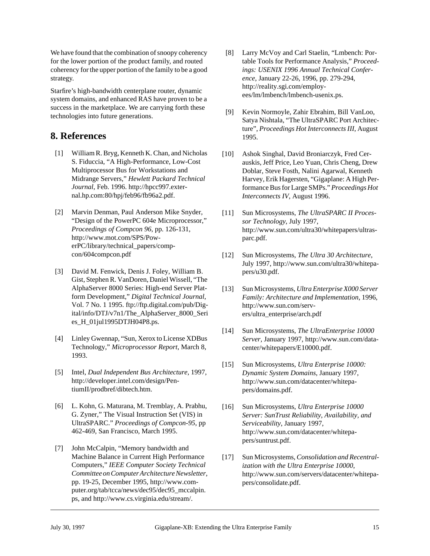<span id="page-14-0"></span>We have found that the combination of snoopy coherency for the lower portion of the product family, and routed coherency for the upper portion of the family to be a good strategy.

Starfire's high-bandwidth centerplane router, dynamic system domains, and enhanced RAS have proven to be a success in the marketplace. We are carrying forth these technologies into future generations.

# **8. References**

- [1] William R. Bryg, Kenneth K. Chan, and Nicholas S. Fiduccia, "A High-Performance, Low-Cost Multiprocessor Bus for Workstations and Midrange Servers," *Hewlett Packard Technical Journal*, Feb. 1996. http://hpcc997.external.hp.com:80/hpj/feb96/fb96a2.pdf.
- [2] Marvin Denman, Paul Anderson Mike Snyder, "Design of the PowerPC 604e Microprocessor," *Proceedings of Compcon 96*, pp. 126-131, http://www.mot.com/SPS/PowerPC/library/technical\_papers/compcon/604compcon.pdf
- [3] David M. Fenwick, Denis J. Foley, William B. Gist, Stephen R. VanDoren, Daniel Wissell, "The AlphaServer 8000 Series: High-end Server Platform Development," *Digital Technical Journal*, Vol. 7 No. 1 1995. ftp://ftp.digital.com/pub/Digital/info/DTJ/v7n1/The\_AlphaServer\_8000\_Seri es\_H\_01jul1995DTJH04P8.ps.
- [4] Linley Gwennap, "Sun, Xerox to License XDBus Technology," *Microprocessor Report*, March 8, 1993.
- [5] Intel, *Dual Independent Bus Architecture*, 1997, http://developer.intel.com/design/PentiumII/prodbref/dibtech.htm.
- [6] L. Kohn, G. Maturana, M. Tremblay, A. Prabhu, G. Zyner," The Visual Instruction Set (VIS) in UltraSPARC." *Proceedings of Compcon-95*, pp 462-469, San Francisco, March 1995.
- [7] John McCalpin, "Memory bandwidth and Machine Balance in Current High Performance Computers," *IEEE Computer Society Technical Committee on Computer Architecture Newsletter*, pp. 19-25, December 1995, http://www.computer.org/tab/tcca/news/dec95/dec95\_mccalpin. ps, and http://www.cs.virginia.edu/stream/.
- [8] Larry McVoy and Carl Staelin, "Lmbench: Portable Tools for Performance Analysis," *Proceedings: USENIX 1996 Annual Technical Conference*, January 22-26, 1996, pp. 279-294, http://reality.sgi.com/employees/lm/lmbench/lmbench-usenix.ps.
- [9] Kevin Normoyle, Zahir Ebrahim, Bill VanLoo, Satya Nishtala, "The UltraSPARC Port Architecture", *Proceedings Hot Interconnects III*, August 1995.
- [10] Ashok Singhal, David Broniarczyk, Fred Cerauskis, Jeff Price, Leo Yuan, Chris Cheng, Drew Doblar, Steve Fosth, Nalini Agarwal, Kenneth Harvey, Erik Hagersten, "Gigaplane: A High Performance Bus for Large SMPs." *Proceedings Hot Interconnects IV*, August 1996.
- [11] Sun Microsystems, *The UltraSPARC II Processor Technology*, July 1997, http://www.sun.com/ultra30/whitepapers/ultrasparc.pdf.
- [12] Sun Microsystems, *The Ultra 30 Architecture*, July 1997, http://www.sun.com/ultra30/whitepapers/u30.pdf.
- [13] Sun Microsystems, *Ultra Enterprise X000 Server Family: Architecture and Implementation*, 1996, http://www.sun.com/servers/ultra\_enterprise/arch.pdf
- [14] Sun Microsystems, *The UltraEnterprise 10000 Server*, January 1997, http://www.sun.com/datacenter/whitepapers/E10000.pdf.
- [15] Sun Microsystems, *Ultra Enterprise 10000: Dynamic System Domains*, January 1997, http://www.sun.com/datacenter/whitepapers/domains.pdf.
- [16] Sun Microsystems, *Ultra Enterprise 10000 Server: SunTrust Reliability, Availability, and Serviceability*, January 1997, http://www.sun.com/datacenter/whitepapers/suntrust.pdf.
- [17] Sun Microsystems, *Consolidation and Recentralization with the Ultra Enterprise 10000*, http://www.sun.com/servers/datacenter/whitepapers/consolidate.pdf.